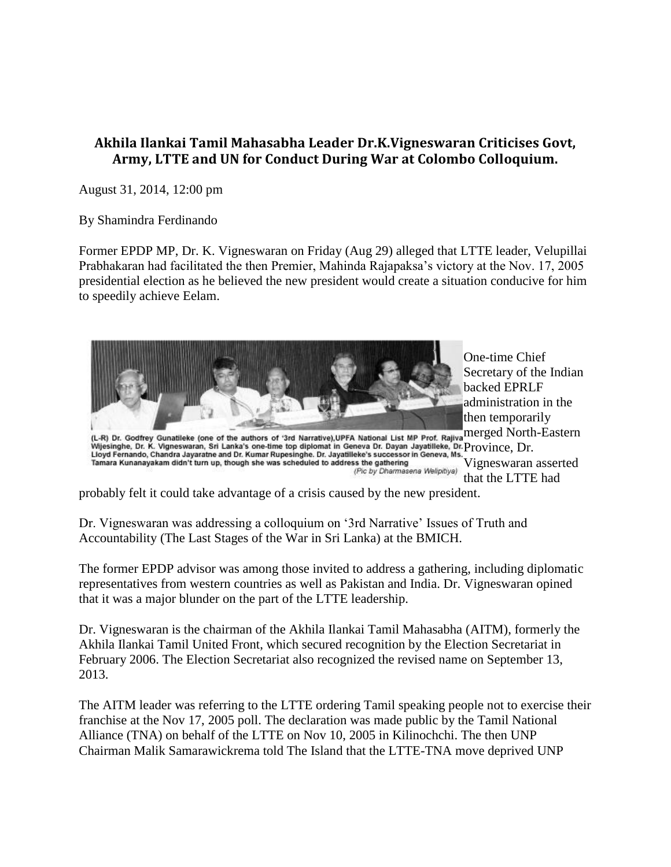## **Akhila Ilankai Tamil Mahasabha Leader Dr.K.Vigneswaran Criticises Govt, Army, LTTE and UN for Conduct During War at Colombo Colloquium.**

August 31, 2014, 12:00 pm

By Shamindra Ferdinando

Former EPDP MP, Dr. K. Vigneswaran on Friday (Aug 29) alleged that LTTE leader, Velupillai Prabhakaran had facilitated the then Premier, Mahinda Rajapaksa's victory at the Nov. 17, 2005 presidential election as he believed the new president would create a situation conducive for him to speedily achieve Eelam.



probably felt it could take advantage of a crisis caused by the new president.

Dr. Vigneswaran was addressing a colloquium on '3rd Narrative' Issues of Truth and Accountability (The Last Stages of the War in Sri Lanka) at the BMICH.

The former EPDP advisor was among those invited to address a gathering, including diplomatic representatives from western countries as well as Pakistan and India. Dr. Vigneswaran opined that it was a major blunder on the part of the LTTE leadership.

Dr. Vigneswaran is the chairman of the Akhila Ilankai Tamil Mahasabha (AITM), formerly the Akhila Ilankai Tamil United Front, which secured recognition by the Election Secretariat in February 2006. The Election Secretariat also recognized the revised name on September 13, 2013.

The AITM leader was referring to the LTTE ordering Tamil speaking people not to exercise their franchise at the Nov 17, 2005 poll. The declaration was made public by the Tamil National Alliance (TNA) on behalf of the LTTE on Nov 10, 2005 in Kilinochchi. The then UNP Chairman Malik Samarawickrema told The Island that the LTTE-TNA move deprived UNP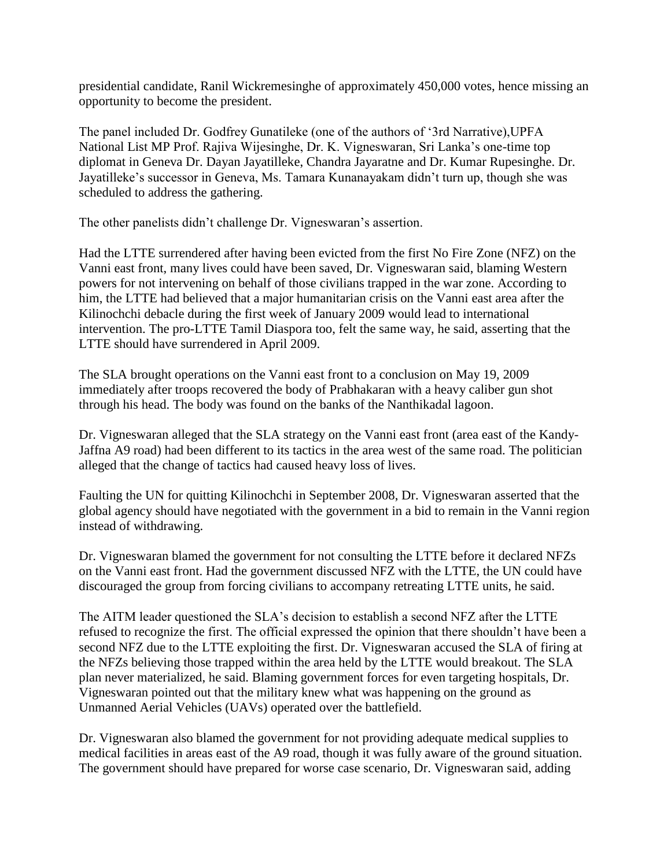presidential candidate, Ranil Wickremesinghe of approximately 450,000 votes, hence missing an opportunity to become the president.

The panel included Dr. Godfrey Gunatileke (one of the authors of '3rd Narrative),UPFA National List MP Prof. Rajiva Wijesinghe, Dr. K. Vigneswaran, Sri Lanka's one-time top diplomat in Geneva Dr. Dayan Jayatilleke, Chandra Jayaratne and Dr. Kumar Rupesinghe. Dr. Jayatilleke's successor in Geneva, Ms. Tamara Kunanayakam didn't turn up, though she was scheduled to address the gathering.

The other panelists didn't challenge Dr. Vigneswaran's assertion.

Had the LTTE surrendered after having been evicted from the first No Fire Zone (NFZ) on the Vanni east front, many lives could have been saved, Dr. Vigneswaran said, blaming Western powers for not intervening on behalf of those civilians trapped in the war zone. According to him, the LTTE had believed that a major humanitarian crisis on the Vanni east area after the Kilinochchi debacle during the first week of January 2009 would lead to international intervention. The pro-LTTE Tamil Diaspora too, felt the same way, he said, asserting that the LTTE should have surrendered in April 2009.

The SLA brought operations on the Vanni east front to a conclusion on May 19, 2009 immediately after troops recovered the body of Prabhakaran with a heavy caliber gun shot through his head. The body was found on the banks of the Nanthikadal lagoon.

Dr. Vigneswaran alleged that the SLA strategy on the Vanni east front (area east of the Kandy-Jaffna A9 road) had been different to its tactics in the area west of the same road. The politician alleged that the change of tactics had caused heavy loss of lives.

Faulting the UN for quitting Kilinochchi in September 2008, Dr. Vigneswaran asserted that the global agency should have negotiated with the government in a bid to remain in the Vanni region instead of withdrawing.

Dr. Vigneswaran blamed the government for not consulting the LTTE before it declared NFZs on the Vanni east front. Had the government discussed NFZ with the LTTE, the UN could have discouraged the group from forcing civilians to accompany retreating LTTE units, he said.

The AITM leader questioned the SLA's decision to establish a second NFZ after the LTTE refused to recognize the first. The official expressed the opinion that there shouldn't have been a second NFZ due to the LTTE exploiting the first. Dr. Vigneswaran accused the SLA of firing at the NFZs believing those trapped within the area held by the LTTE would breakout. The SLA plan never materialized, he said. Blaming government forces for even targeting hospitals, Dr. Vigneswaran pointed out that the military knew what was happening on the ground as Unmanned Aerial Vehicles (UAVs) operated over the battlefield.

Dr. Vigneswaran also blamed the government for not providing adequate medical supplies to medical facilities in areas east of the A9 road, though it was fully aware of the ground situation. The government should have prepared for worse case scenario, Dr. Vigneswaran said, adding